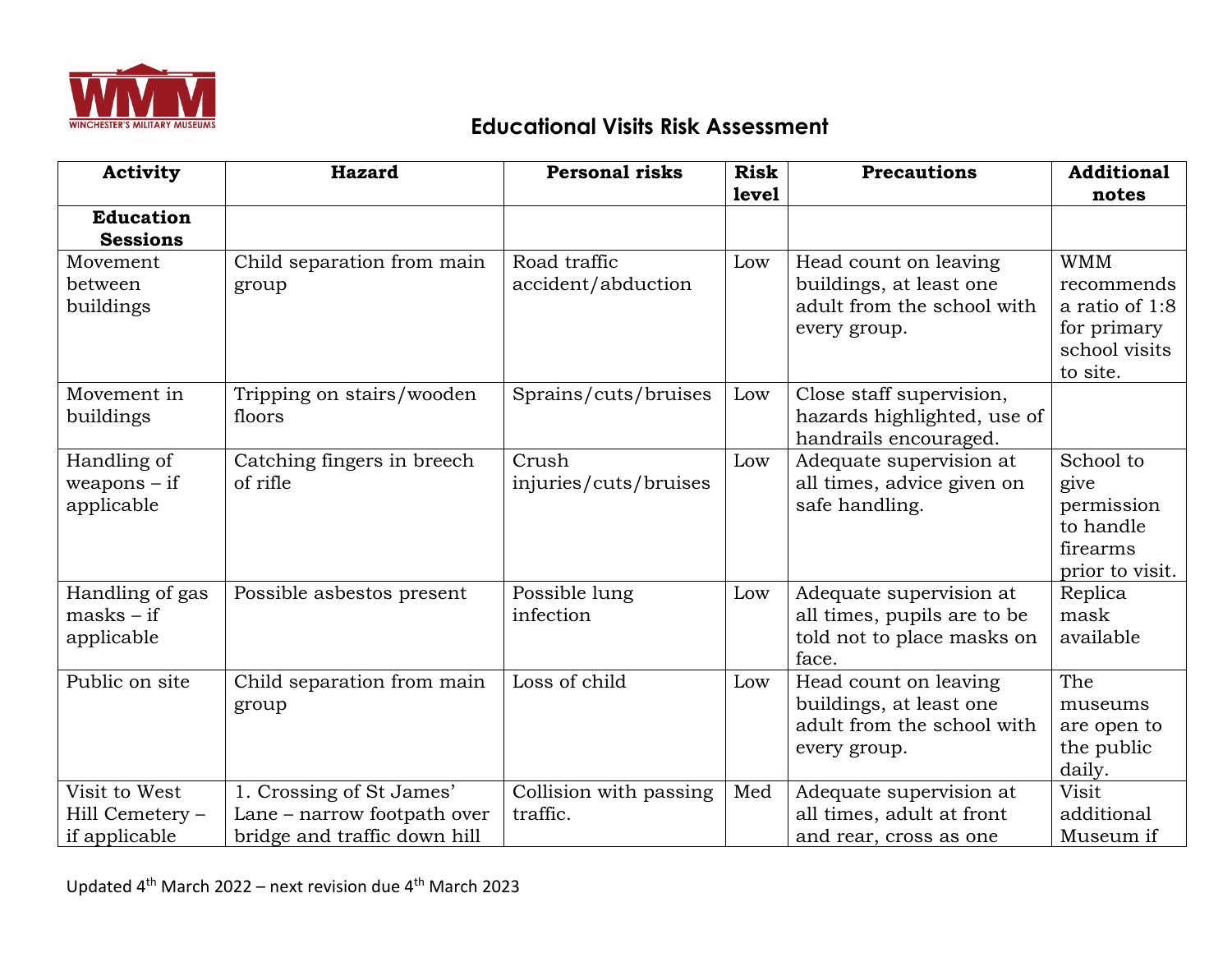

## **Educational Visits Risk Assessment**

| <b>Activity</b>                                   | <b>Hazard</b>                                                                           | <b>Personal risks</b>              | <b>Risk</b> | <b>Precautions</b>                                                                             | <b>Additional</b>                                                                      |
|---------------------------------------------------|-----------------------------------------------------------------------------------------|------------------------------------|-------------|------------------------------------------------------------------------------------------------|----------------------------------------------------------------------------------------|
|                                                   |                                                                                         |                                    | level       |                                                                                                | notes                                                                                  |
| <b>Education</b><br><b>Sessions</b>               |                                                                                         |                                    |             |                                                                                                |                                                                                        |
| Movement<br>between<br>buildings                  | Child separation from main<br>group                                                     | Road traffic<br>accident/abduction | Low         | Head count on leaving<br>buildings, at least one<br>adult from the school with<br>every group. | <b>WMM</b><br>recommends<br>a ratio of 1:8<br>for primary<br>school visits<br>to site. |
| Movement in<br>buildings                          | Tripping on stairs/wooden<br>floors                                                     | Sprains/cuts/bruises               | Low         | Close staff supervision,<br>hazards highlighted, use of<br>handrails encouraged.               |                                                                                        |
| Handling of<br>$weapons - if$<br>applicable       | Catching fingers in breech<br>of rifle                                                  | Crush<br>injuries/cuts/bruises     | Low         | Adequate supervision at<br>all times, advice given on<br>safe handling.                        | School to<br>give<br>permission<br>to handle<br>firearms<br>prior to visit.            |
| Handling of gas<br>$masks - if$<br>applicable     | Possible asbestos present                                                               | Possible lung<br>infection         | Low         | Adequate supervision at<br>all times, pupils are to be<br>told not to place masks on<br>face.  | Replica<br>mask<br>available                                                           |
| Public on site                                    | Child separation from main<br>group                                                     | Loss of child                      | Low         | Head count on leaving<br>buildings, at least one<br>adult from the school with<br>every group. | The<br>museums<br>are open to<br>the public<br>daily.                                  |
| Visit to West<br>Hill Cemetery -<br>if applicable | 1. Crossing of St James'<br>Lane - narrow footpath over<br>bridge and traffic down hill | Collision with passing<br>traffic. | Med         | Adequate supervision at<br>all times, adult at front<br>and rear, cross as one                 | Visit<br>additional<br>Museum if                                                       |